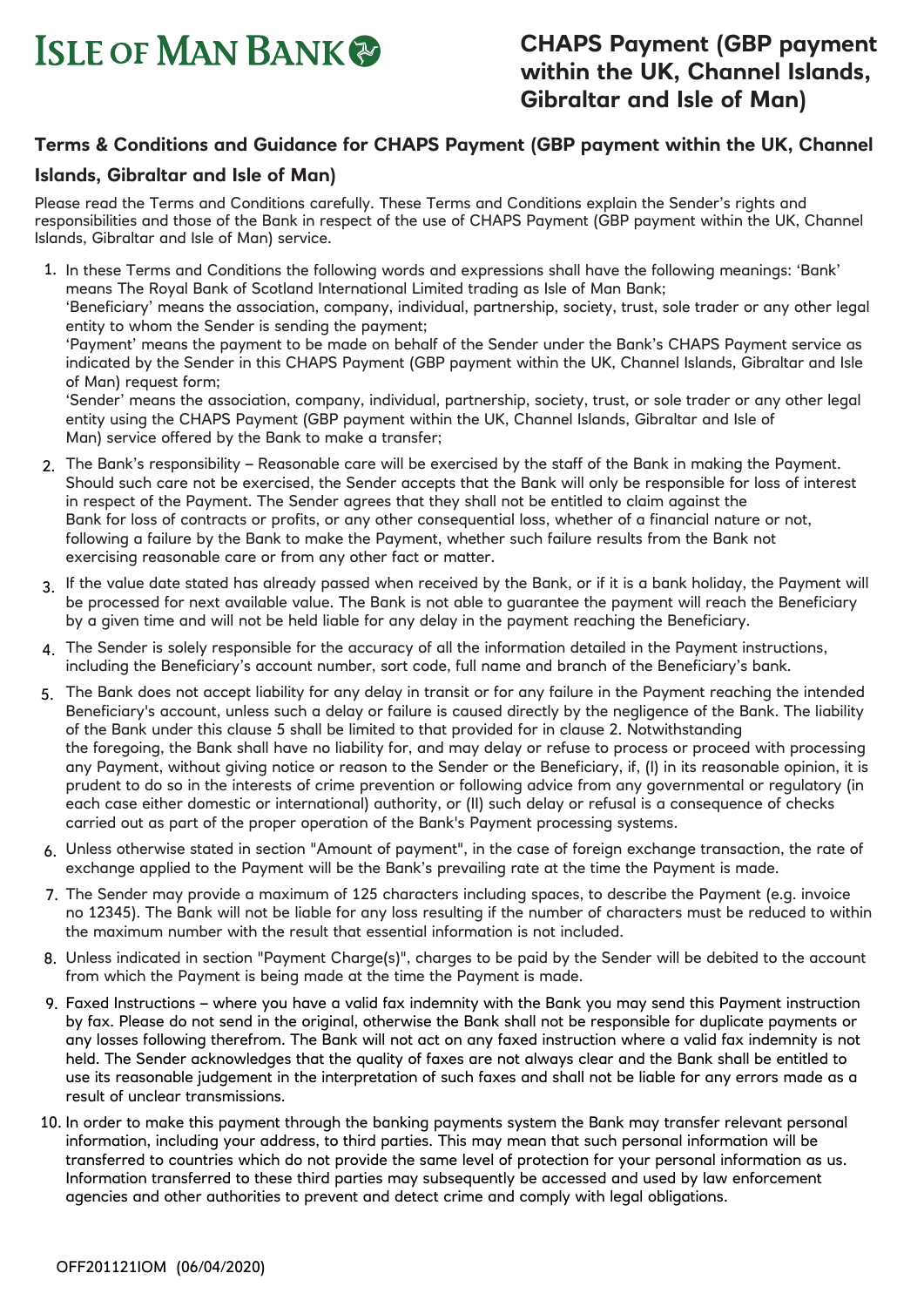# **ISLE OF MAN BANK**

## **Terms & Conditions and Guidance for CHAPS Payment (GBP payment within the UK, Channel**

### **Islands, Gibraltar and Isle of Man)**

Please read the Terms and Conditions carefully. These Terms and Conditions explain the Sender's rights and responsibilities and those of the Bank in respect of the use of CHAPS Payment (GBP payment within the UK, Channel Islands, Gibraltar and Isle of Man) service.

- 1. In these Terms and Conditions the following words and expressions shall have the following meanings: 'Bank' means The Royal Bank of Scotland International Limited trading as Isle of Man Bank; 'Beneficiary' means the association, company, individual, partnership, society, trust, sole trader or any other legal entity to whom the Sender is sending the payment; 'Payment' means the payment to be made on behalf of the Sender under the Bank's CHAPS Payment service as indicated by the Sender in this CHAPS Payment (GBP payment within the UK, Channel Islands, Gibraltar and Isle of Man) request form; 'Sender' means the association, company, individual, partnership, society, trust, or sole trader or any other legal entity using the CHAPS Payment (GBP payment within the UK, Channel Islands, Gibraltar and Isle of Man) service offered by the Bank to make a transfer;
- 2. The Bank's responsibility Reasonable care will be exercised by the staff of the Bank in making the Payment. Should such care not be exercised, the Sender accepts that the Bank will only be responsible for loss of interest in respect of the Payment. The Sender agrees that they shall not be entitled to claim against the Bank for loss of contracts or profits, or any other consequential loss, whether of a financial nature or not, following a failure by the Bank to make the Payment, whether such failure results from the Bank not exercising reasonable care or from any other fact or matter.
- 3. If the value date stated has already passed when received by the Bank, or if it is a bank holiday, the Payment will be processed for next available value. The Bank is not able to guarantee the payment will reach the Beneficiary by a given time and will not be held liable for any delay in the payment reaching the Beneficiary.
- 4. The Sender is solely responsible for the accuracy of all the information detailed in the Payment instructions, including the Beneficiary's account number, sort code, full name and branch of the Beneficiary's bank.
- 5. The Bank does not accept liability for any delay in transit or for any failure in the Payment reaching the intended Beneficiary's account, unless such a delay or failure is caused directly by the negligence of the Bank. The liability of the Bank under this clause 5 shall be limited to that provided for in clause 2. Notwithstanding the foregoing, the Bank shall have no liability for, and may delay or refuse to process or proceed with processing any Payment, without giving notice or reason to the Sender or the Beneficiary, if, (I) in its reasonable opinion, it is prudent to do so in the interests of crime prevention or following advice from any governmental or regulatory (in each case either domestic or international) authority, or (II) such delay or refusal is a consequence of checks carried out as part of the proper operation of the Bank's Payment processing systems.
- 6. Unless otherwise stated in section "Amount of payment", in the case of foreign exchange transaction, the rate of exchange applied to the Payment will be the Bank's prevailing rate at the time the Payment is made.
- 7. The Sender may provide a maximum of 125 characters including spaces, to describe the Payment (e.g. invoice no 12345). The Bank will not be liable for any loss resulting if the number of characters must be reduced to within the maximum number with the result that essential information is not included.
- 8. Unless indicated in section "Payment Charge(s)", charges to be paid by the Sender will be debited to the account from which the Payment is being made at the time the Payment is made.
- Faxed Instructions where you have a valid fax indemnity with the Bank you may send this Payment instruction 9. by fax. Please do not send in the original, otherwise the Bank shall not be responsible for duplicate payments or any losses following therefrom. The Bank will not act on any faxed instruction where a valid fax indemnity is not held. The Sender acknowledges that the quality of faxes are not always clear and the Bank shall be entitled to use its reasonable judgement in the interpretation of such faxes and shall not be liable for any errors made as a result of unclear transmissions.
- In order to make this payment through the banking payments system the Bank may transfer relevant personal 10.information, including your address, to third parties. This may mean that such personal information will be transferred to countries which do not provide the same level of protection for your personal information as us. Information transferred to these third parties may subsequently be accessed and used by law enforcement agencies and other authorities to prevent and detect crime and comply with legal obligations.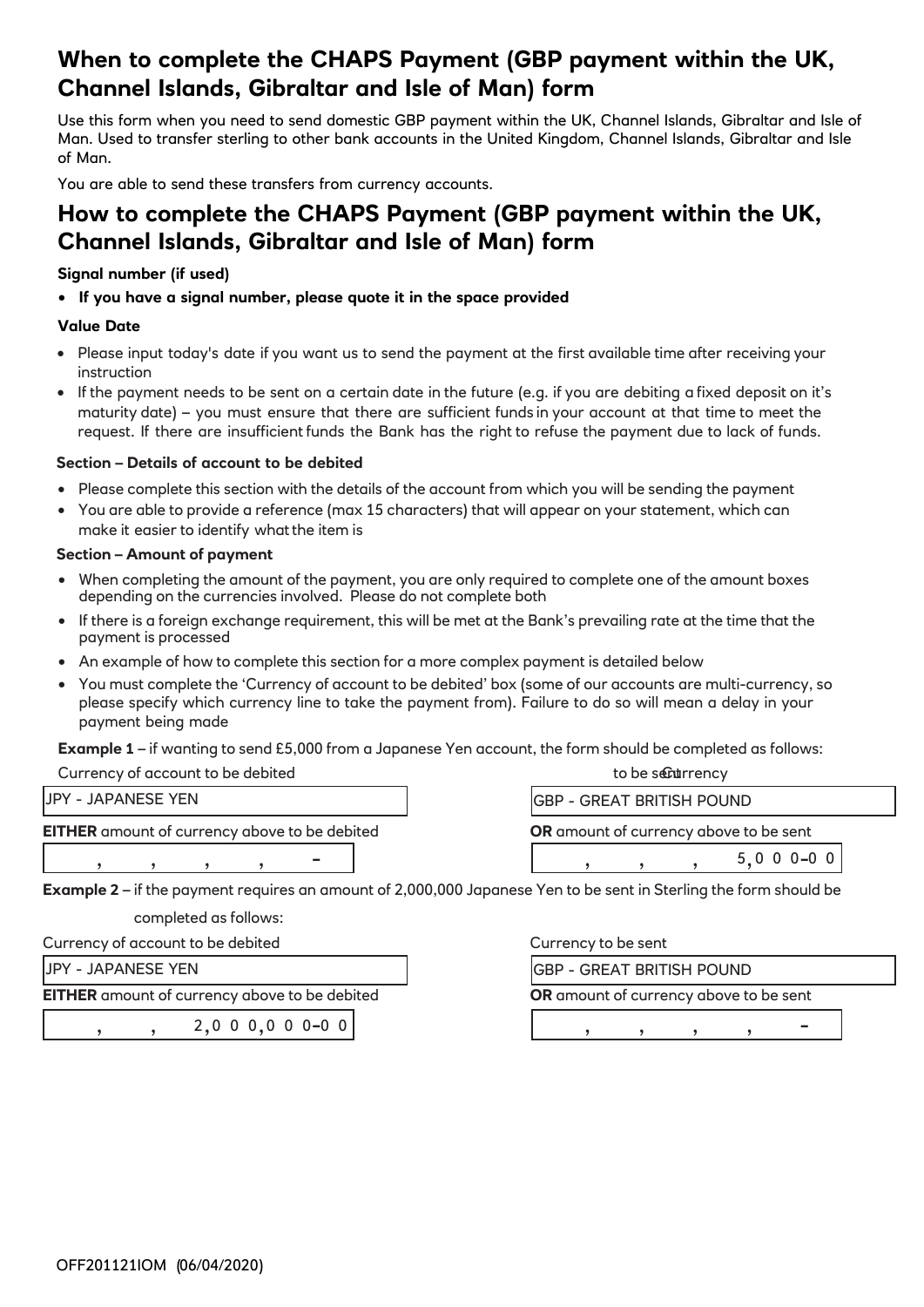# **When to complete the CHAPS Payment (GBP payment within the UK, Channel Islands, Gibraltar and Isle of Man) form**

Use this form when you need to send domestic GBP payment within the UK, Channel Islands, Gibraltar and Isle of Man. Used to transfer sterling to other bank accounts in the United Kingdom, Channel Islands, Gibraltar and Isle of Man.

You are able to send these transfers from currency accounts.

## **How to complete the CHAPS Payment (GBP payment within the UK, Channel Islands, Gibraltar and Isle of Man) form**

#### **Signal number (if used)**

• **If you have a signal number, please quote it in the space provided**

#### **Value Date**

- Please input today's date if you want us to send the payment at the first available time after receiving your instruction
- If the payment needs to be sent on a certain date in the future (e.g. if you are debiting a fixed deposit on it's maturity date) – you must ensure that there are sufficient funds in your account at that time to meet the request. If there are insufficient funds the Bank has the right to refuse the payment due to lack of funds.

#### **Section – Details of account to be debited**

- Please complete this section with the details of the account from which you will be sending the payment
- You are able to provide a reference (max 15 characters) that will appear on your statement, which can make it easier to identify what the item is

#### **Section – Amount of payment**

- When completing the amount of the payment, you are only required to complete one of the amount boxes depending on the currencies involved. Please do not complete both
- If there is a foreign exchange requirement, this will be met at the Bank's prevailing rate at the time that the payment is processed
- An example of how to complete this section for a more complex payment is detailed below
- You must complete the 'Currency of account to be debited' box (some of our accounts are multi-currency, so please specify which currency line to take the payment from). Failure to do so will mean a delay in your payment being made

**Example 1** – if wanting to send £5,000 from a Japanese Yen account, the form should be completed as follows:

| Currency of account to be debited                    | to be securrency                              |  |
|------------------------------------------------------|-----------------------------------------------|--|
| <b>JPY - JAPANESE YEN</b>                            | IGBP - GREAT BRITISH POUND                    |  |
| <b>EITHER</b> amount of currency above to be debited | <b>OR</b> amount of currency above to be sent |  |
| $\sim$                                               | 5 0 0 0 - 0 0                                 |  |

**Example 2** – if the payment requires an amount of 2,000,000 Japanese Yen to be sent in Sterling the form should be

completed as follows:

Currency of account to be debited Currency to be sent

JPY - JAPANESE YEN

**EITHER** amount of currency above to be debited **OR** amount of currency above to be sent

|  | 2,000,000000 |
|--|--------------|

GBP - GREAT BRITISH POUND

-0 0 , , , , -